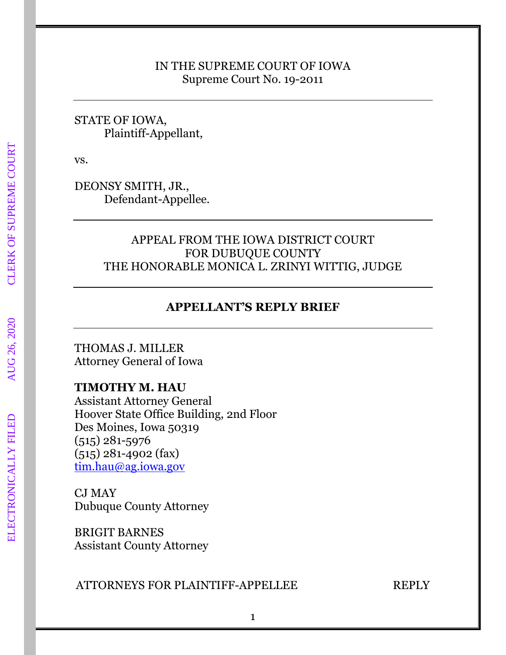#### IN THE SUPREME COURT OF IOWA Supreme Court No. 19-2011

STATE OF IOWA, Plaintiff-Appellant,

vs.

DEONSY SMITH, JR., Defendant-Appellee.

## APPEAL FROM THE IOWA DISTRICT COURT FOR DUBUQUE COUNTY THE HONORABLE MONICA L. ZRINYI WITTIG, JUDGE

# **APPELLANT'S REPLY BRIEF**

THOMAS J. MILLER Attorney General of Iowa

## **TIMOTHY M. HAU**

Assistant Attorney General Hoover State Office Building, 2nd Floor Des Moines, Iowa 50319 (515) 281-5976 (515) 281-4902 (fax) [tim.hau@ag.iowa.gov](mailto:tim.hau@ag.iowa.gov)

CJ MAY Dubuque County Attorney

BRIGIT BARNES Assistant County Attorney

### ATTORNEYS FOR PLAINTIFF-APPELLEE REPLY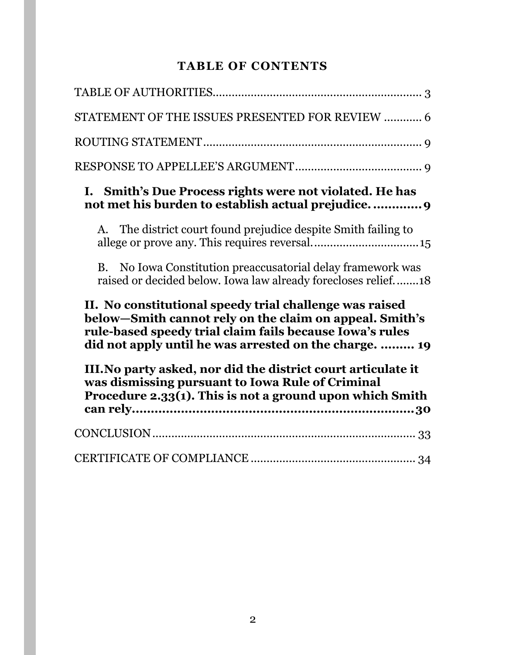# **TABLE OF CONTENTS**

| STATEMENT OF THE ISSUES PRESENTED FOR REVIEW  6                                                                                                                                                                                                                                                                                                               |
|---------------------------------------------------------------------------------------------------------------------------------------------------------------------------------------------------------------------------------------------------------------------------------------------------------------------------------------------------------------|
|                                                                                                                                                                                                                                                                                                                                                               |
|                                                                                                                                                                                                                                                                                                                                                               |
| I. Smith's Due Process rights were not violated. He has<br>not met his burden to establish actual prejudice 9                                                                                                                                                                                                                                                 |
| A. The district court found prejudice despite Smith failing to                                                                                                                                                                                                                                                                                                |
| No Iowa Constitution preaccusatorial delay framework was<br><b>B.</b><br>raised or decided below. Iowa law already forecloses relief18                                                                                                                                                                                                                        |
| II. No constitutional speedy trial challenge was raised<br>below-Smith cannot rely on the claim on appeal. Smith's<br>rule-based speedy trial claim fails because Iowa's rules<br>did not apply until he was arrested on the charge.  19<br>III. No party asked, nor did the district court articulate it<br>was dismissing pursuant to Iowa Rule of Criminal |
| Procedure 2.33(1). This is not a ground upon which Smith                                                                                                                                                                                                                                                                                                      |
|                                                                                                                                                                                                                                                                                                                                                               |
|                                                                                                                                                                                                                                                                                                                                                               |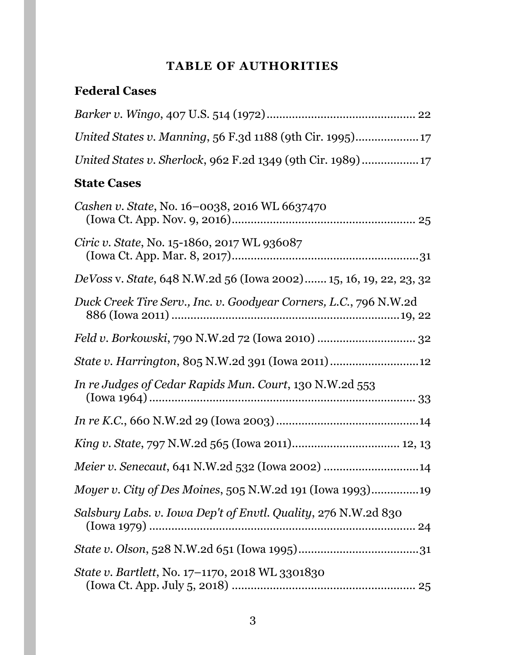# **TABLE OF AUTHORITIES**

# <span id="page-2-0"></span>**Federal Cases**

| United States v. Sherlock, 962 F.2d 1349 (9th Cir. 1989)          |
|-------------------------------------------------------------------|
| <b>State Cases</b>                                                |
| Cashen v. State, No. 16–0038, 2016 WL 6637470                     |
| <i>Ciric v. State, No.</i> 15-1860, 2017 WL 936087                |
| DeVoss v. State, 648 N.W.2d 56 (Iowa 2002) 15, 16, 19, 22, 23, 32 |
| Duck Creek Tire Serv., Inc. v. Goodyear Corners, L.C., 796 N.W.2d |
|                                                                   |
| <i>State v. Harrington, 805 N.W.2d 391 (Iowa 2011) </i>           |
| In re Judges of Cedar Rapids Mun. Court, 130 N.W.2d 553           |
|                                                                   |
|                                                                   |
| Meier v. Senecaut, 641 N.W.2d 532 (Iowa 2002) 14                  |
| <i>Moyer v. City of Des Moines, 505 N.W.2d 191 (Iowa 1993)19</i>  |
| Salsbury Labs. v. Iowa Dep't of Envtl. Quality, 276 N.W.2d 830    |
|                                                                   |
| <i>State v. Bartlett, No. 17–1170, 2018 WL 3301830</i>            |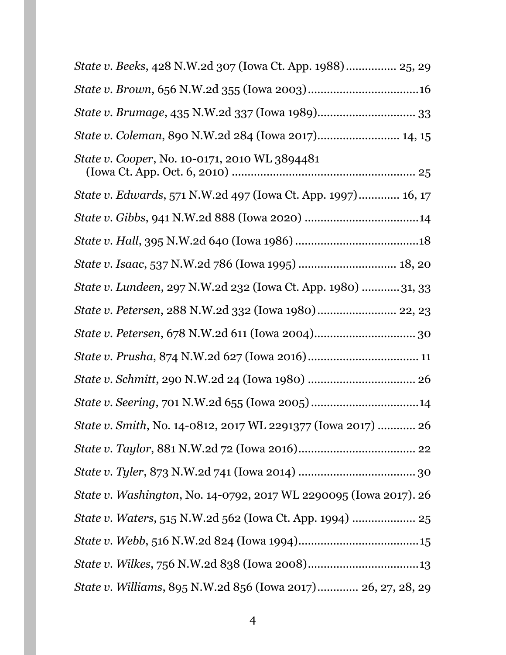| <i>State v. Beeks</i> , 428 N.W.2d 307 (Iowa Ct. App. 1988) 25, 29 |
|--------------------------------------------------------------------|
|                                                                    |
|                                                                    |
| State v. Coleman, 890 N.W.2d 284 (Iowa 2017) 14, 15                |
| <i>State v. Cooper, No.</i> 10-0171, 2010 WL 3894481               |
| State v. Edwards, 571 N.W.2d 497 (Iowa Ct. App. 1997) 16, 17       |
|                                                                    |
|                                                                    |
| State v. Isaac, 537 N.W.2d 786 (Iowa 1995)  18, 20                 |
| State v. Lundeen, 297 N.W.2d 232 (Iowa Ct. App. 1980) 31, 33       |
| State v. Petersen, 288 N.W.2d 332 (Iowa 1980) 22, 23               |
|                                                                    |
|                                                                    |
|                                                                    |
|                                                                    |
| State v. Smith, No. 14-0812, 2017 WL 2291377 (Iowa 2017)  26       |
|                                                                    |
|                                                                    |
| State v. Washington, No. 14-0792, 2017 WL 2290095 (Iowa 2017). 26  |
| State v. Waters, 515 N.W.2d 562 (Iowa Ct. App. 1994)  25           |
|                                                                    |
|                                                                    |
| State v. Williams, 895 N.W.2d 856 (Iowa 2017) 26, 27, 28, 29       |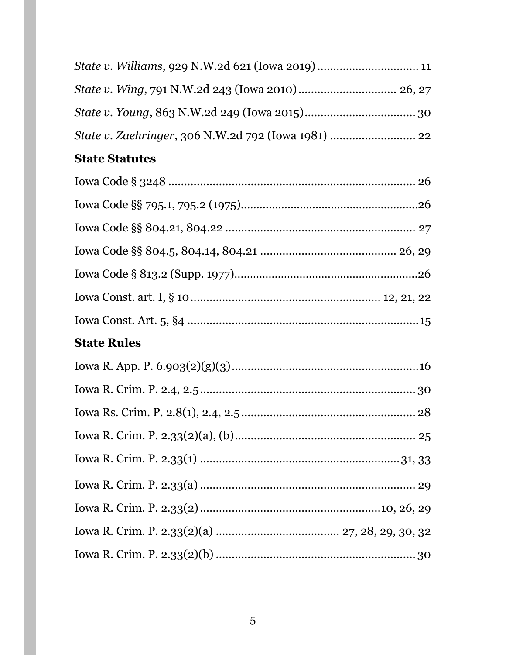# **State Statutes**

# **State Rules**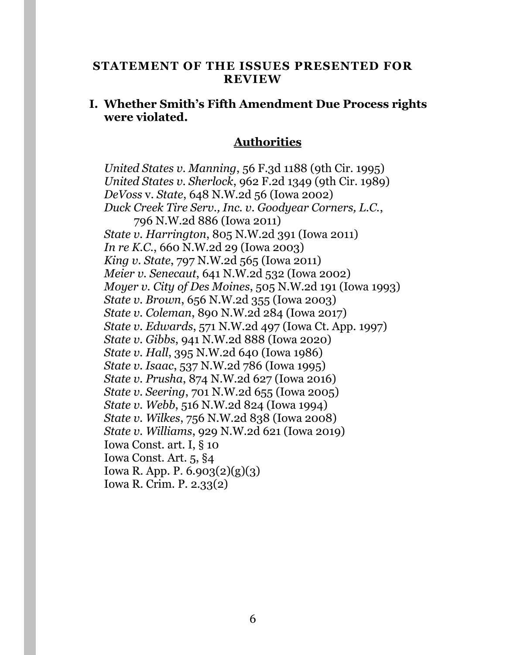#### <span id="page-5-0"></span>**STATEMENT OF THE ISSUES PRESENTED FOR REVIEW**

#### **I. Whether Smith's Fifth Amendment Due Process rights were violated.**

### **Authorities**

*United States v. Manning*, 56 F.3d 1188 (9th Cir. 1995) *United States v. Sherlock*, 962 F.2d 1349 (9th Cir. 1989) *DeVoss* v. *State*, 648 N.W.2d 56 (Iowa 2002) *Duck Creek Tire Serv., Inc. v. Goodyear Corners, L.C.*, 796 N.W.2d 886 (Iowa 2011) *State v. Harrington*, 805 N.W.2d 391 (Iowa 2011) *In re K.C.*, 660 N.W.2d 29 (Iowa 2003) *King v. State*, 797 N.W.2d 565 (Iowa 2011) *Meier v. Senecaut*, 641 N.W.2d 532 (Iowa 2002) *Moyer v. City of Des Moines*, 505 N.W.2d 191 (Iowa 1993) *State v. Brown*, 656 N.W.2d 355 (Iowa 2003) *State v. Coleman*, 890 N.W.2d 284 (Iowa 2017) *State v. Edwards*, 571 N.W.2d 497 (Iowa Ct. App. 1997) *State v. Gibbs*, 941 N.W.2d 888 (Iowa 2020) *State v. Hall*, 395 N.W.2d 640 (Iowa 1986) *State v. Isaac*, 537 N.W.2d 786 (Iowa 1995) *State v. Prusha*, 874 N.W.2d 627 (Iowa 2016) *State v. Seering*, 701 N.W.2d 655 (Iowa 2005) *State v. Webb*, 516 N.W.2d 824 (Iowa 1994) *State v. Wilkes*, 756 N.W.2d 838 (Iowa 2008) *State v. Williams*, 929 N.W.2d 621 (Iowa 2019) Iowa Const. art. I, § 10 Iowa Const. Art. 5, §4 Iowa R. App. P. 6.903(2)(g)(3) Iowa R. Crim. P. 2.33(2)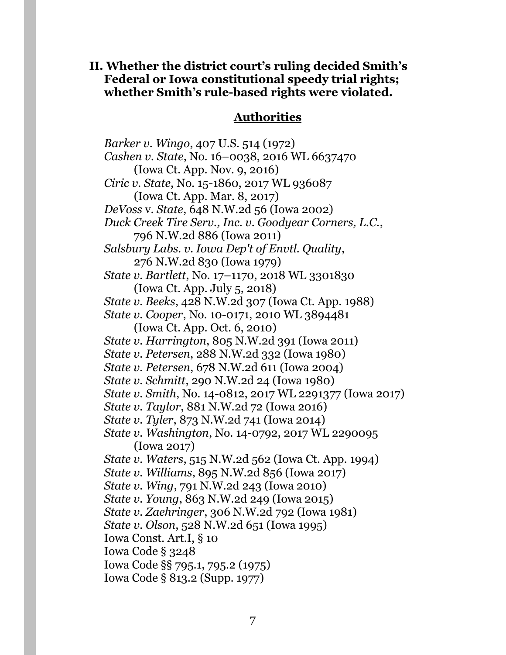**II. Whether the district court's ruling decided Smith's Federal or Iowa constitutional speedy trial rights; whether Smith's rule-based rights were violated.**

#### **Authorities**

*Barker v. Wingo*, 407 U.S. 514 (1972) *Cashen v. State*, No. 16–0038, 2016 WL 6637470 (Iowa Ct. App. Nov. 9, 2016) *Ciric v. State*, No. 15-1860, 2017 WL 936087 (Iowa Ct. App. Mar. 8, 2017) *DeVoss* v. *State*, 648 N.W.2d 56 (Iowa 2002) *Duck Creek Tire Serv., Inc. v. Goodyear Corners, L.C.*, 796 N.W.2d 886 (Iowa 2011) *Salsbury Labs. v. Iowa Dep't of Envtl. Quality*, 276 N.W.2d 830 (Iowa 1979) *State v. Bartlett*, No. 17–1170, 2018 WL 3301830 (Iowa Ct. App. July 5, 2018) *State v. Beeks*, 428 N.W.2d 307 (Iowa Ct. App. 1988) *State v. Cooper*, No. 10-0171, 2010 WL 3894481 (Iowa Ct. App. Oct. 6, 2010) *State v. Harrington*, 805 N.W.2d 391 (Iowa 2011) *State v. Petersen*, 288 N.W.2d 332 (Iowa 1980) *State v. Petersen*, 678 N.W.2d 611 (Iowa 2004) *State v. Schmitt*, 290 N.W.2d 24 (Iowa 1980) *State v. Smith*, No. 14-0812, 2017 WL 2291377 (Iowa 2017) *State v. Taylor*, 881 N.W.2d 72 (Iowa 2016) *State v. Tyler*, 873 N.W.2d 741 (Iowa 2014) *State v. Washington*, No. 14-0792, 2017 WL 2290095 (Iowa 2017) *State v. Waters*, 515 N.W.2d 562 (Iowa Ct. App. 1994) *State v. Williams*, 895 N.W.2d 856 (Iowa 2017) *State v. Wing*, 791 N.W.2d 243 (Iowa 2010) *State v. Young*, 863 N.W.2d 249 (Iowa 2015) *State v. Zaehringer*, 306 N.W.2d 792 (Iowa 1981) *State v. Olson*, 528 N.W.2d 651 (Iowa 1995) Iowa Const. Art.I, § 10 Iowa Code § 3248 Iowa Code §§ 795.1, 795.2 (1975) Iowa Code § 813.2 (Supp. 1977)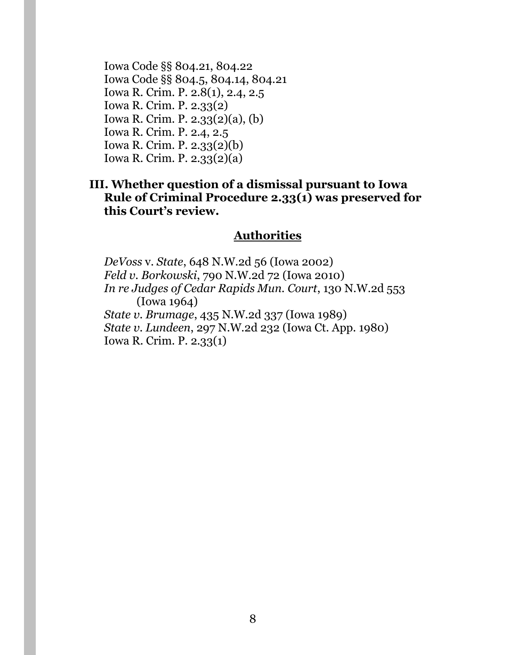Iowa Code §§ 804.21, 804.22 Iowa Code §§ 804.5, 804.14, 804.21 Iowa R. Crim. P. 2.8(1), 2.4, 2.5 Iowa R. Crim. P. 2.33(2) Iowa R. Crim. P. 2.33(2)(a), (b) Iowa R. Crim. P. 2.4, 2.5 Iowa R. Crim. P. 2.33(2)(b) Iowa R. Crim. P. 2.33(2)(a)

## **III. Whether question of a dismissal pursuant to Iowa Rule of Criminal Procedure 2.33(1) was preserved for this Court's review.**

### **Authorities**

*DeVoss* v. *State*, 648 N.W.2d 56 (Iowa 2002) *Feld v. Borkowski*, 790 N.W.2d 72 (Iowa 2010) *In re Judges of Cedar Rapids Mun. Court*, 130 N.W.2d 553 (Iowa 1964) *State v. Brumage*, 435 N.W.2d 337 (Iowa 1989) *State v. Lundeen*, 297 N.W.2d 232 (Iowa Ct. App. 1980) Iowa R. Crim. P. 2.33(1)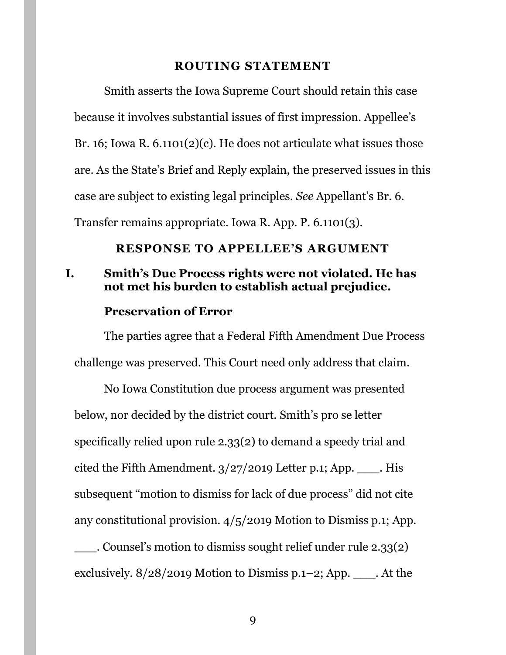#### **ROUTING STATEMENT**

<span id="page-8-0"></span>Smith asserts the Iowa Supreme Court should retain this case because it involves substantial issues of first impression. Appellee's Br. 16; Iowa R.  $6.1101(2)(c)$ . He does not articulate what issues those are. As the State's Brief and Reply explain, the preserved issues in this case are subject to existing legal principles. *See* Appellant's Br. 6. Transfer remains appropriate. Iowa R. App. P. 6.1101(3).

#### <span id="page-8-2"></span>**RESPONSE TO APPELLEE'S ARGUMENT**

## <span id="page-8-1"></span>**I. Smith's Due Process rights were not violated. He has not met his burden to establish actual prejudice.**

#### **Preservation of Error**

The parties agree that a Federal Fifth Amendment Due Process challenge was preserved. This Court need only address that claim.

No Iowa Constitution due process argument was presented below, nor decided by the district court. Smith's pro se letter specifically relied upon rule 2.33(2) to demand a speedy trial and cited the Fifth Amendment.  $3/27/2019$  Letter p.1; App. \_\_\_\_. His subsequent "motion to dismiss for lack of due process" did not cite any constitutional provision. 4/5/2019 Motion to Dismiss p.1; App.

\_\_\_. Counsel's motion to dismiss sought relief under rule 2.33(2) exclusively.  $8/28/2019$  Motion to Dismiss p.1–2; App. \_\_\_\_. At the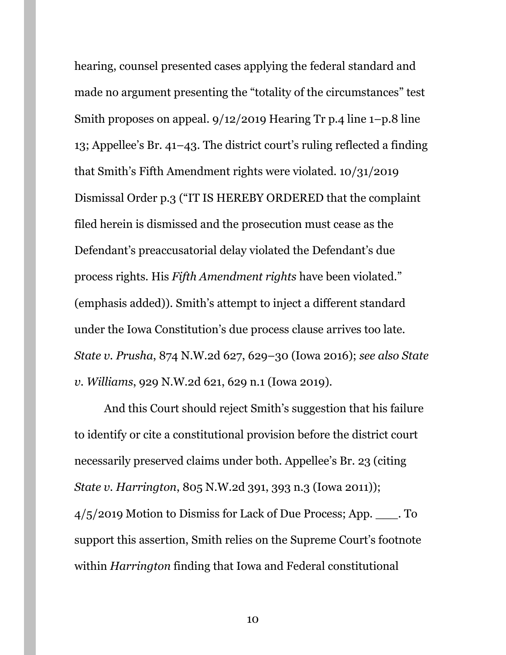hearing, counsel presented cases applying the federal standard and made no argument presenting the "totality of the circumstances" test Smith proposes on appeal. 9/12/2019 Hearing Tr p.4 line 1–p.8 line 13; Appellee's Br. 41–43. The district court's ruling reflected a finding that Smith's Fifth Amendment rights were violated. 10/31/2019 Dismissal Order p.3 ("IT IS HEREBY ORDERED that the complaint filed herein is dismissed and the prosecution must cease as the Defendant's preaccusatorial delay violated the Defendant's due process rights. His *Fifth Amendment rights* have been violated." (emphasis added)). Smith's attempt to inject a different standard under the Iowa Constitution's due process clause arrives too late. *State v. Prusha*, 874 N.W.2d 627, 629–30 (Iowa 2016); *see also State v. Williams*, 929 N.W.2d 621, 629 n.1 (Iowa 2019).

And this Court should reject Smith's suggestion that his failure to identify or cite a constitutional provision before the district court necessarily preserved claims under both. Appellee's Br. 23 (citing *State v. Harrington*, 805 N.W.2d 391, 393 n.3 (Iowa 2011)); 4/5/2019 Motion to Dismiss for Lack of Due Process; App. \_\_\_. To support this assertion, Smith relies on the Supreme Court's footnote within *Harrington* finding that Iowa and Federal constitutional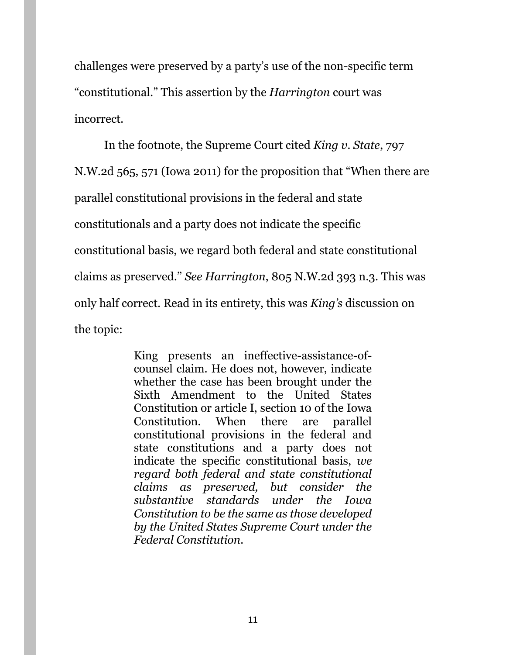challenges were preserved by a party's use of the non-specific term "constitutional." This assertion by the *Harrington* court was incorrect.

In the footnote, the Supreme Court cited *King v. State*, 797 N.W.2d 565, 571 (Iowa 2011) for the proposition that "When there are parallel constitutional provisions in the federal and state constitutionals and a party does not indicate the specific constitutional basis, we regard both federal and state constitutional claims as preserved." *See Harrington*, 805 N.W.2d 393 n.3. This was only half correct. Read in its entirety, this was *King's* discussion on the topic:

> King presents an ineffective-assistance-ofcounsel claim. He does not, however, indicate whether the case has been brought under the Sixth Amendment to the United States Constitution or article I, section 10 of the Iowa Constitution. When there are parallel constitutional provisions in the federal and state constitutions and a party does not indicate the specific constitutional basis, *we regard both federal and state constitutional claims as preserved, but consider the substantive standards under the Iowa Constitution to be the same as those developed by the United States Supreme Court under the Federal Constitution.*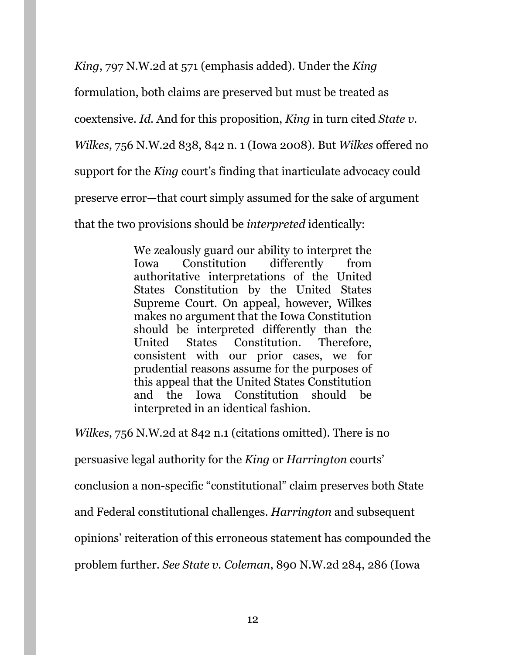*King*, 797 N.W.2d at 571 (emphasis added). Under the *King* 

formulation, both claims are preserved but must be treated as

coextensive. *Id.* And for this proposition, *King* in turn cited *State v.* 

*Wilkes*, 756 N.W.2d 838, 842 n. 1 (Iowa 2008). But *Wilkes* offered no

support for the *King* court's finding that inarticulate advocacy could

preserve error—that court simply assumed for the sake of argument

that the two provisions should be *interpreted* identically:

We zealously guard our ability to interpret the Iowa Constitution differently from authoritative interpretations of the United States Constitution by the United States Supreme Court. On appeal, however, Wilkes makes no argument that the Iowa Constitution should be interpreted differently than the United States Constitution. Therefore, consistent with our prior cases, we for prudential reasons assume for the purposes of this appeal that the United States Constitution and the Iowa Constitution should be interpreted in an identical fashion.

*Wilkes*, 756 N.W.2d at 842 n.1 (citations omitted). There is no

persuasive legal authority for the *King* or *Harrington* courts'

conclusion a non-specific "constitutional" claim preserves both State

and Federal constitutional challenges. *Harrington* and subsequent

opinions' reiteration of this erroneous statement has compounded the

problem further. *See State v. Coleman*, 890 N.W.2d 284, 286 (Iowa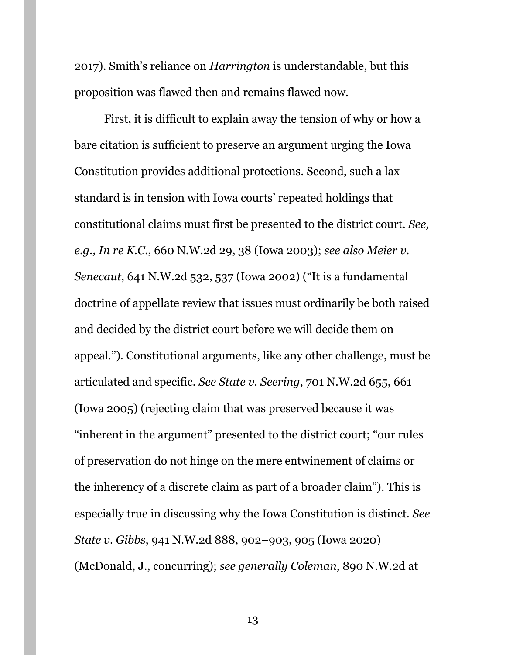2017). Smith's reliance on *Harrington* is understandable, but this proposition was flawed then and remains flawed now.

First, it is difficult to explain away the tension of why or how a bare citation is sufficient to preserve an argument urging the Iowa Constitution provides additional protections. Second, such a lax standard is in tension with Iowa courts' repeated holdings that constitutional claims must first be presented to the district court. *See, e.g., In re K.C.*, 660 N.W.2d 29, 38 (Iowa 2003); *see also Meier v. Senecaut*, 641 N.W.2d 532, 537 (Iowa 2002) ("It is a fundamental doctrine of appellate review that issues must ordinarily be both raised and decided by the district court before we will decide them on appeal."). Constitutional arguments, like any other challenge, must be articulated and specific. *See State v. Seering*, 701 N.W.2d 655, 661 (Iowa 2005) (rejecting claim that was preserved because it was "inherent in the argument" presented to the district court; "our rules of preservation do not hinge on the mere entwinement of claims or the inherency of a discrete claim as part of a broader claim"). This is especially true in discussing why the Iowa Constitution is distinct. *See State v. Gibbs*, 941 N.W.2d 888, 902–903, 905 (Iowa 2020) (McDonald, J., concurring); *see generally Coleman*, 890 N.W.2d at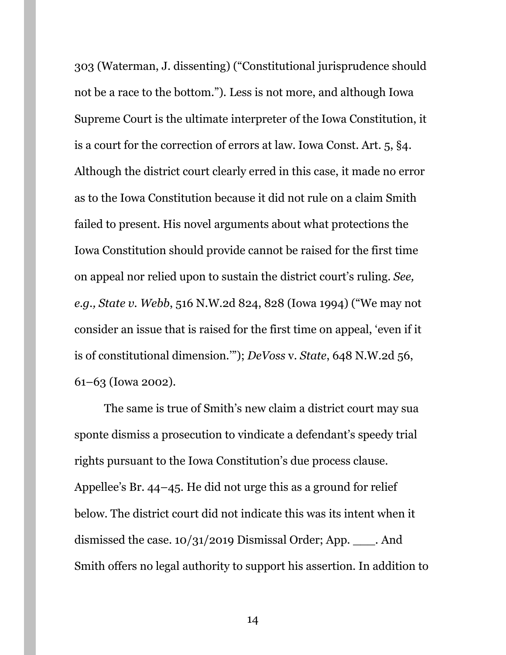303 (Waterman, J. dissenting) ("Constitutional jurisprudence should not be a race to the bottom."). Less is not more, and although Iowa Supreme Court is the ultimate interpreter of the Iowa Constitution, it is a court for the correction of errors at law. Iowa Const. Art. 5, §4. Although the district court clearly erred in this case, it made no error as to the Iowa Constitution because it did not rule on a claim Smith failed to present. His novel arguments about what protections the Iowa Constitution should provide cannot be raised for the first time on appeal nor relied upon to sustain the district court's ruling. *See, e.g., State v. Webb*, 516 N.W.2d 824, 828 (Iowa 1994) ("We may not consider an issue that is raised for the first time on appeal, 'even if it is of constitutional dimension.'"); *DeVoss* v. *State*, 648 N.W.2d 56, 61–63 (Iowa 2002).

The same is true of Smith's new claim a district court may sua sponte dismiss a prosecution to vindicate a defendant's speedy trial rights pursuant to the Iowa Constitution's due process clause. Appellee's Br. 44–45. He did not urge this as a ground for relief below. The district court did not indicate this was its intent when it dismissed the case. 10/31/2019 Dismissal Order; App. \_\_\_. And Smith offers no legal authority to support his assertion. In addition to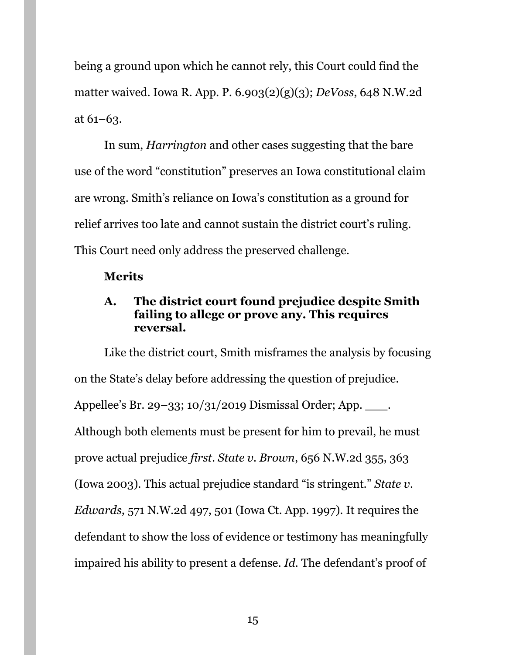being a ground upon which he cannot rely, this Court could find the matter waived. Iowa R. App. P. 6.903(2)(g)(3); *DeVoss*, 648 N.W.2d at 61–63.

In sum, *Harrington* and other cases suggesting that the bare use of the word "constitution" preserves an Iowa constitutional claim are wrong. Smith's reliance on Iowa's constitution as a ground for relief arrives too late and cannot sustain the district court's ruling. This Court need only address the preserved challenge.

## **Merits**

# <span id="page-14-0"></span>**A. The district court found prejudice despite Smith failing to allege or prove any. This requires reversal.**

Like the district court, Smith misframes the analysis by focusing on the State's delay before addressing the question of prejudice. Appellee's Br. 29–33; 10/31/2019 Dismissal Order; App. \_\_\_\_. Although both elements must be present for him to prevail, he must prove actual prejudice *first*. *State v. Brown*, 656 N.W.2d 355, 363 (Iowa 2003). This actual prejudice standard "is stringent." *State v. Edwards*, 571 N.W.2d 497, 501 (Iowa Ct. App. 1997). It requires the defendant to show the loss of evidence or testimony has meaningfully impaired his ability to present a defense. *Id.* The defendant's proof of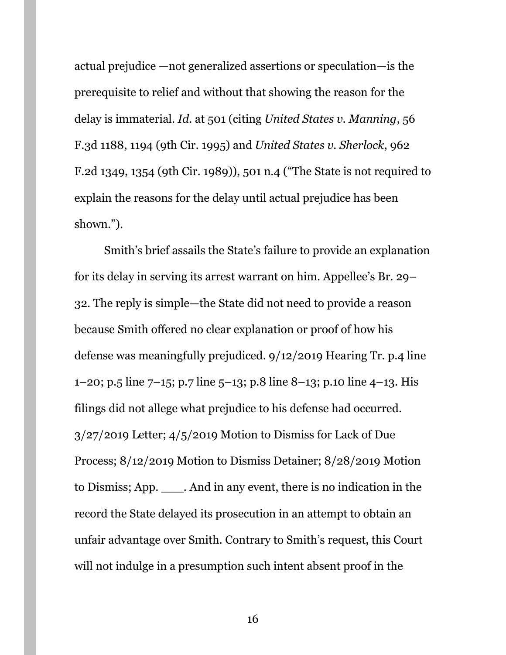actual prejudice —not generalized assertions or speculation—is the prerequisite to relief and without that showing the reason for the delay is immaterial. *Id.* at 501 (citing *United States v. Manning*, 56 F.3d 1188, 1194 (9th Cir. 1995) and *United States v. Sherlock*, 962 F.2d 1349, 1354 (9th Cir. 1989)), 501 n.4 ("The State is not required to explain the reasons for the delay until actual prejudice has been shown.").

Smith's brief assails the State's failure to provide an explanation for its delay in serving its arrest warrant on him. Appellee's Br. 29– 32. The reply is simple—the State did not need to provide a reason because Smith offered no clear explanation or proof of how his defense was meaningfully prejudiced. 9/12/2019 Hearing Tr. p.4 line 1–20; p.5 line 7–15; p.7 line 5–13; p.8 line 8–13; p.10 line 4–13. His filings did not allege what prejudice to his defense had occurred. 3/27/2019 Letter; 4/5/2019 Motion to Dismiss for Lack of Due Process; 8/12/2019 Motion to Dismiss Detainer; 8/28/2019 Motion to Dismiss; App. \_\_\_. And in any event, there is no indication in the record the State delayed its prosecution in an attempt to obtain an unfair advantage over Smith. Contrary to Smith's request, this Court will not indulge in a presumption such intent absent proof in the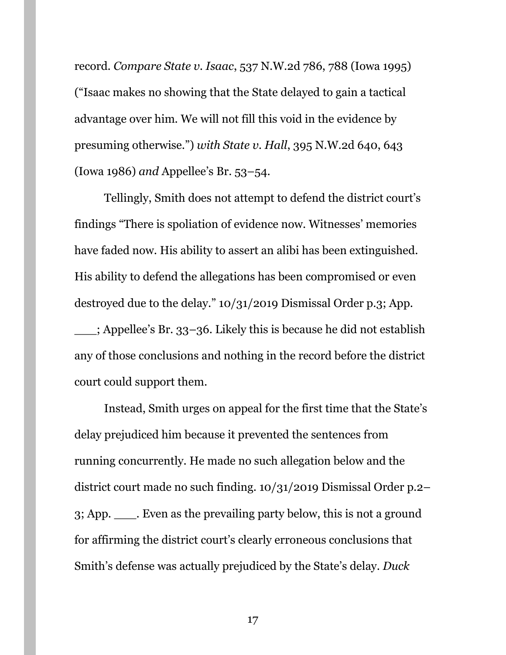record. *Compare State v. Isaac*, 537 N.W.2d 786, 788 (Iowa 1995) ("Isaac makes no showing that the State delayed to gain a tactical advantage over him. We will not fill this void in the evidence by presuming otherwise.") *with State v. Hall*, 395 N.W.2d 640, 643 (Iowa 1986) *and* Appellee's Br. 53–54.

Tellingly, Smith does not attempt to defend the district court's findings "There is spoliation of evidence now. Witnesses' memories have faded now. His ability to assert an alibi has been extinguished. His ability to defend the allegations has been compromised or even destroyed due to the delay." 10/31/2019 Dismissal Order p.3; App. \_\_\_; Appellee's Br. 33–36. Likely this is because he did not establish any of those conclusions and nothing in the record before the district

court could support them.

Instead, Smith urges on appeal for the first time that the State's delay prejudiced him because it prevented the sentences from running concurrently. He made no such allegation below and the district court made no such finding. 10/31/2019 Dismissal Order p.2– 3; App. \_\_\_. Even as the prevailing party below, this is not a ground for affirming the district court's clearly erroneous conclusions that Smith's defense was actually prejudiced by the State's delay. *Duck*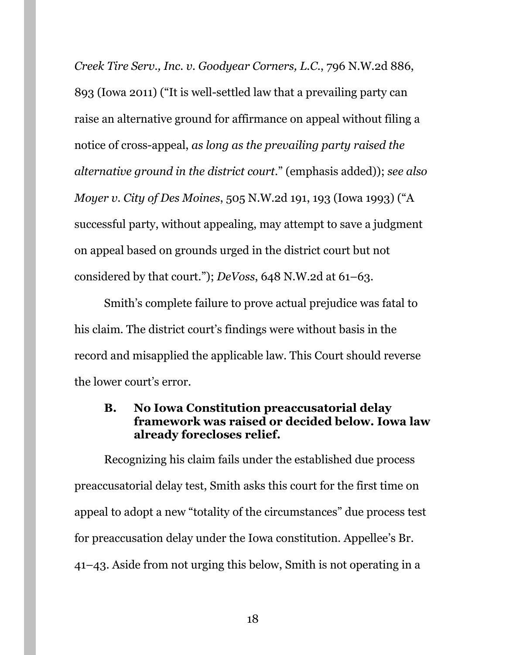*Creek Tire Serv., Inc. v. Goodyear Corners, L.C.*, 796 N.W.2d 886, 893 (Iowa 2011) ("It is well-settled law that a prevailing party can raise an alternative ground for affirmance on appeal without filing a notice of cross-appeal, *as long as the prevailing party raised the alternative ground in the district court*." (emphasis added)); *see also Moyer v. City of Des Moines*, 505 N.W.2d 191, 193 (Iowa 1993) ("A successful party, without appealing, may attempt to save a judgment on appeal based on grounds urged in the district court but not considered by that court."); *DeVoss*, 648 N.W.2d at 61–63.

Smith's complete failure to prove actual prejudice was fatal to his claim. The district court's findings were without basis in the record and misapplied the applicable law. This Court should reverse the lower court's error.

### <span id="page-17-0"></span>**B. No Iowa Constitution preaccusatorial delay framework was raised or decided below. Iowa law already forecloses relief.**

Recognizing his claim fails under the established due process preaccusatorial delay test, Smith asks this court for the first time on appeal to adopt a new "totality of the circumstances" due process test for preaccusation delay under the Iowa constitution. Appellee's Br. 41–43. Aside from not urging this below, Smith is not operating in a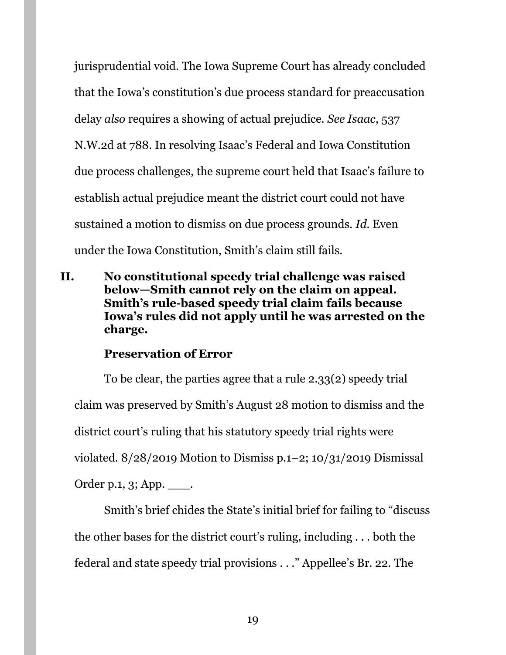jurisprudential void. The Iowa Supreme Court has already concluded that the Iowa's constitution's due process standard for preaccusation delay *also* requires a showing of actual prejudice. *See Isaac*, 537 N.W.2d at 788. In resolving Isaac's Federal and Iowa Constitution due process challenges, the supreme court held that Isaac's failure to establish actual prejudice meant the district court could not have sustained a motion to dismiss on due process grounds. *Id.* Even under the Iowa Constitution, Smith's claim still fails.

<span id="page-18-0"></span>**II. No constitutional speedy trial challenge was raised below—Smith cannot rely on the claim on appeal. Smith's rule-based speedy trial claim fails because Iowa's rules did not apply until he was arrested on the charge.**

#### **Preservation of Error**

To be clear, the parties agree that a rule 2.33(2) speedy trial claim was preserved by Smith's August 28 motion to dismiss and the district court's ruling that his statutory speedy trial rights were violated.  $8/28/2019$  Motion to Dismiss p.1–2; 10/31/2019 Dismissal Order p.1, 3; App. \_\_\_.

Smith's brief chides the State's initial brief for failing to "discuss the other bases for the district court's ruling, including . . . both the federal and state speedy trial provisions . . ." Appellee's Br. 22. The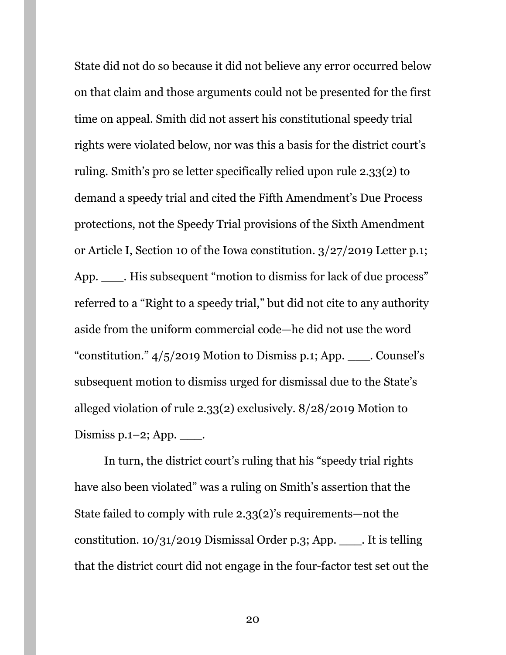State did not do so because it did not believe any error occurred below on that claim and those arguments could not be presented for the first time on appeal. Smith did not assert his constitutional speedy trial rights were violated below, nor was this a basis for the district court's ruling. Smith's pro se letter specifically relied upon rule 2.33(2) to demand a speedy trial and cited the Fifth Amendment's Due Process protections, not the Speedy Trial provisions of the Sixth Amendment or Article I, Section 10 of the Iowa constitution. 3/27/2019 Letter p.1; App. \_\_\_\_\_. His subsequent "motion to dismiss for lack of due process" referred to a "Right to a speedy trial," but did not cite to any authority aside from the uniform commercial code—he did not use the word "constitution." 4/5/2019 Motion to Dismiss p.1; App. \_\_\_. Counsel's subsequent motion to dismiss urged for dismissal due to the State's alleged violation of rule 2.33(2) exclusively. 8/28/2019 Motion to Dismiss p.1-2; App.  $\_\_\_\$ .

In turn, the district court's ruling that his "speedy trial rights have also been violated" was a ruling on Smith's assertion that the State failed to comply with rule 2.33(2)'s requirements—not the constitution. 10/31/2019 Dismissal Order p.3; App. \_\_\_. It is telling that the district court did not engage in the four-factor test set out the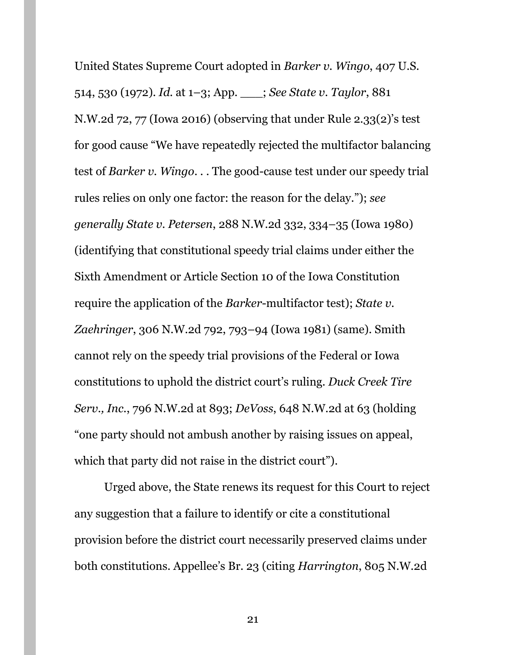United States Supreme Court adopted in *Barker v. Wingo*, 407 U.S. 514, 530 (1972). *Id.* at 1–3; App. \_\_\_; *See State v. Taylor*, 881 N.W.2d 72, 77 (Iowa 2016) (observing that under Rule 2.33(2)'s test for good cause "We have repeatedly rejected the multifactor balancing test of *Barker v. Wingo*. . . The good-cause test under our speedy trial rules relies on only one factor: the reason for the delay."); *see generally State v. Petersen*, 288 N.W.2d 332, 334–35 (Iowa 1980) (identifying that constitutional speedy trial claims under either the Sixth Amendment or Article Section 10 of the Iowa Constitution require the application of the *Barker*-multifactor test); *State v. Zaehringer*, 306 N.W.2d 792, 793–94 (Iowa 1981) (same). Smith cannot rely on the speedy trial provisions of the Federal or Iowa constitutions to uphold the district court's ruling. *Duck Creek Tire Serv., Inc.*, 796 N.W.2d at 893; *DeVoss*, 648 N.W.2d at 63 (holding "one party should not ambush another by raising issues on appeal, which that party did not raise in the district court").

Urged above, the State renews its request for this Court to reject any suggestion that a failure to identify or cite a constitutional provision before the district court necessarily preserved claims under both constitutions. Appellee's Br. 23 (citing *Harrington*, 805 N.W.2d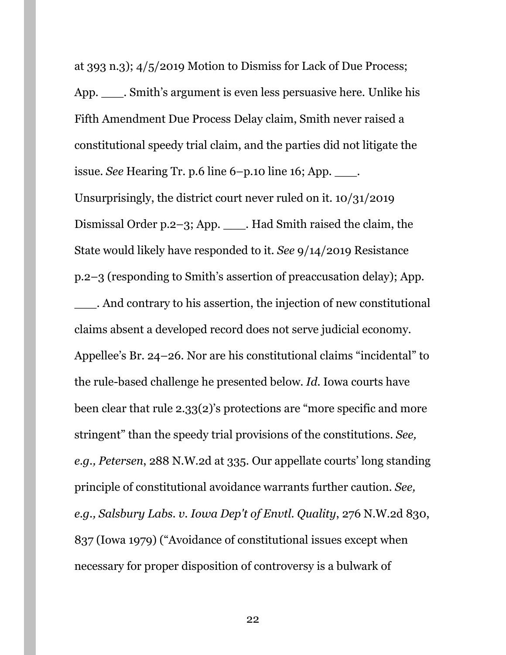at 393 n.3); 4/5/2019 Motion to Dismiss for Lack of Due Process; App. \_\_\_. Smith's argument is even less persuasive here. Unlike his Fifth Amendment Due Process Delay claim, Smith never raised a constitutional speedy trial claim, and the parties did not litigate the issue. *See* Hearing Tr. p.6 line 6–p.10 line 16; App. \_\_\_. Unsurprisingly, the district court never ruled on it. 10/31/2019 Dismissal Order p.2–3; App. \_\_\_. Had Smith raised the claim, the State would likely have responded to it. *See* 9/14/2019 Resistance p.2–3 (responding to Smith's assertion of preaccusation delay); App. \_\_\_. And contrary to his assertion, the injection of new constitutional claims absent a developed record does not serve judicial economy. Appellee's Br. 24–26. Nor are his constitutional claims "incidental" to the rule-based challenge he presented below. *Id.* Iowa courts have been clear that rule 2.33(2)'s protections are "more specific and more stringent" than the speedy trial provisions of the constitutions. *See, e.g., Petersen*, 288 N.W.2d at 335. Our appellate courts' long standing principle of constitutional avoidance warrants further caution. *See, e.g., Salsbury Labs. v. Iowa Dep't of Envtl. Quality*, 276 N.W.2d 830, 837 (Iowa 1979) ("Avoidance of constitutional issues except when necessary for proper disposition of controversy is a bulwark of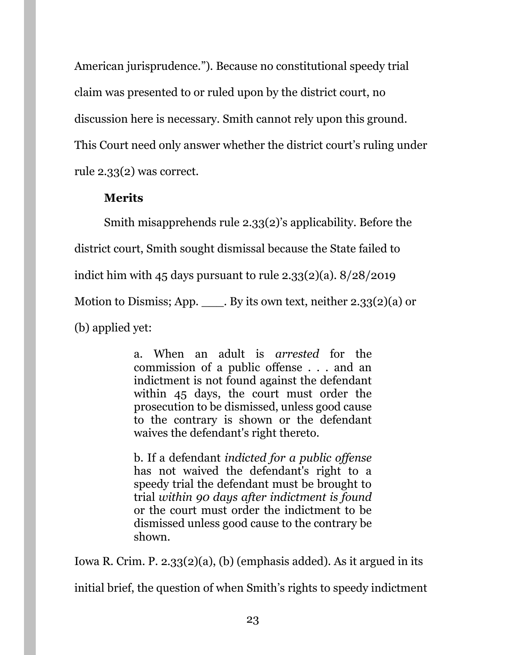American jurisprudence."). Because no constitutional speedy trial claim was presented to or ruled upon by the district court, no discussion here is necessary. Smith cannot rely upon this ground. This Court need only answer whether the district court's ruling under rule 2.33(2) was correct.

# **Merits**

Smith misapprehends rule 2.33(2)'s applicability. Before the district court, Smith sought dismissal because the State failed to indict him with 45 days pursuant to rule 2.33 $(2)(a)$ .  $8/28/2019$ Motion to Dismiss; App.  $\blacksquare$ . By its own text, neither 2.33(2)(a) or (b) applied yet:

> a. When an adult is *arrested* for the commission of a public offense . . . and an indictment is not found against the defendant within 45 days, the court must order the prosecution to be dismissed, unless good cause to the contrary is shown or the defendant waives the defendant's right thereto.

> b. If a defendant *indicted for a public offense* has not waived the defendant's right to a speedy trial the defendant must be brought to trial *within 90 days after indictment is found* or the court must order the indictment to be dismissed unless good cause to the contrary be shown.

Iowa R. Crim. P. 2.33(2)(a), (b) (emphasis added). As it argued in its

initial brief, the question of when Smith's rights to speedy indictment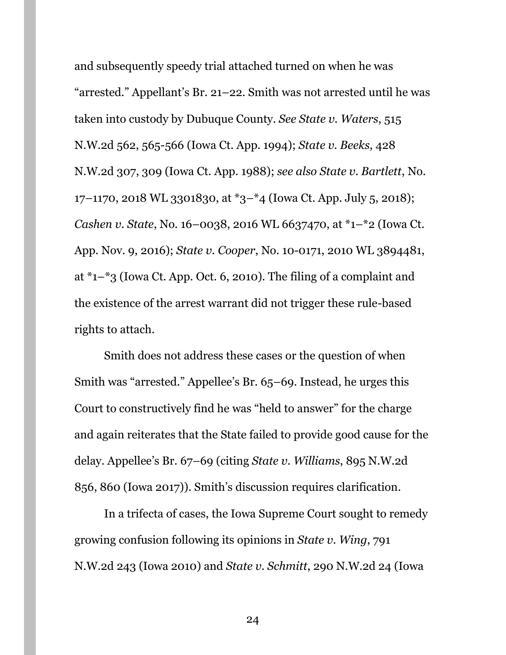and subsequently speedy trial attached turned on when he was "arrested." Appellant's Br. 21–22. Smith was not arrested until he was taken into custody by Dubuque County. *See State v. Waters*, 515 N.W.2d 562, 565-566 (Iowa Ct. App. 1994); *State v. Beeks*, 428 N.W.2d 307, 309 (Iowa Ct. App. 1988); *see also State v. Bartlett*, No. 17–1170, 2018 WL 3301830, at \*3–\*4 (Iowa Ct. App. July 5, 2018); *Cashen v. State*, No. 16–0038, 2016 WL 6637470, at \*1–\*2 (Iowa Ct. App. Nov. 9, 2016); *State v. Cooper*, No. 10-0171, 2010 WL 3894481, at \*1–\*3 (Iowa Ct. App. Oct. 6, 2010). The filing of a complaint and the existence of the arrest warrant did not trigger these rule-based rights to attach.

Smith does not address these cases or the question of when Smith was "arrested." Appellee's Br. 65–69. Instead, he urges this Court to constructively find he was "held to answer" for the charge and again reiterates that the State failed to provide good cause for the delay. Appellee's Br. 67–69 (citing *State v. Williams*, 895 N.W.2d 856, 860 (Iowa 2017)). Smith's discussion requires clarification.

In a trifecta of cases, the Iowa Supreme Court sought to remedy growing confusion following its opinions in *State v. Wing*, 791 N.W.2d 243 (Iowa 2010) and *State v. Schmitt*, 290 N.W.2d 24 (Iowa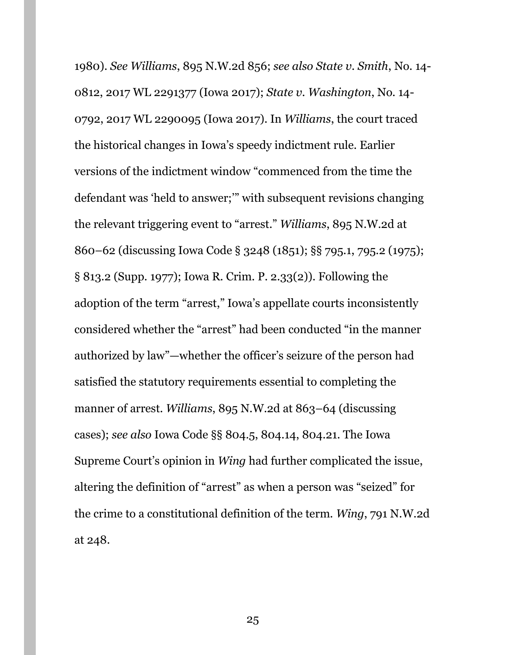1980). *See Williams*, 895 N.W.2d 856; *see also State v. Smith*, No. 14- 0812, 2017 WL 2291377 (Iowa 2017); *State v. Washington*, No. 14- 0792, 2017 WL 2290095 (Iowa 2017). In *Williams*, the court traced the historical changes in Iowa's speedy indictment rule. Earlier versions of the indictment window "commenced from the time the defendant was 'held to answer;'" with subsequent revisions changing the relevant triggering event to "arrest." *Williams*, 895 N.W.2d at 860–62 (discussing Iowa Code § 3248 (1851); §§ 795.1, 795.2 (1975); § 813.2 (Supp. 1977); Iowa R. Crim. P. 2.33(2)). Following the adoption of the term "arrest," Iowa's appellate courts inconsistently considered whether the "arrest" had been conducted "in the manner authorized by law"—whether the officer's seizure of the person had satisfied the statutory requirements essential to completing the manner of arrest. *Williams*, 895 N.W.2d at 863–64 (discussing cases); *see also* Iowa Code §§ 804.5, 804.14, 804.21. The Iowa Supreme Court's opinion in *Wing* had further complicated the issue, altering the definition of "arrest" as when a person was "seized" for the crime to a constitutional definition of the term. *Wing*, 791 N.W.2d at 248.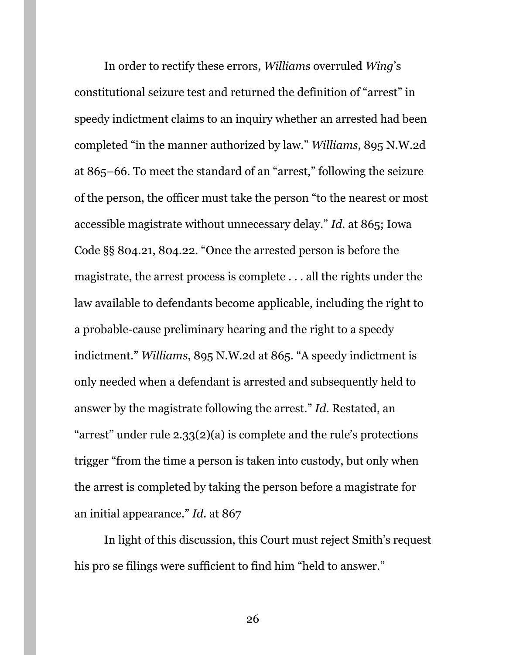In order to rectify these errors, *Williams* overruled *Wing*'s constitutional seizure test and returned the definition of "arrest" in speedy indictment claims to an inquiry whether an arrested had been completed "in the manner authorized by law." *Williams*, 895 N.W.2d at 865–66. To meet the standard of an "arrest," following the seizure of the person, the officer must take the person "to the nearest or most accessible magistrate without unnecessary delay." *Id.* at 865; Iowa Code §§ 804.21, 804.22. "Once the arrested person is before the magistrate, the arrest process is complete . . . all the rights under the law available to defendants become applicable, including the right to a probable-cause preliminary hearing and the right to a speedy indictment." *Williams*, 895 N.W.2d at 865. "A speedy indictment is only needed when a defendant is arrested and subsequently held to answer by the magistrate following the arrest." *Id.* Restated, an "arrest" under rule  $2.33(2)(a)$  is complete and the rule's protections trigger "from the time a person is taken into custody, but only when the arrest is completed by taking the person before a magistrate for an initial appearance." *Id.* at 867

In light of this discussion, this Court must reject Smith's request his pro se filings were sufficient to find him "held to answer."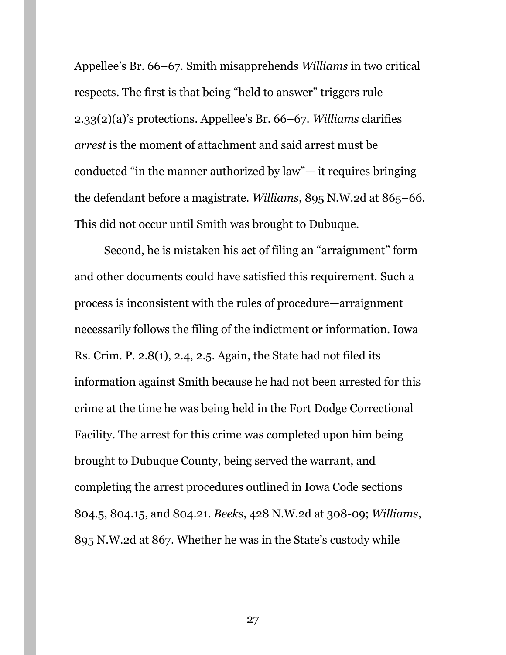Appellee's Br. 66–67. Smith misapprehends *Williams* in two critical respects. The first is that being "held to answer" triggers rule 2.33(2)(a)'s protections. Appellee's Br. 66–67. *Williams* clarifies *arrest* is the moment of attachment and said arrest must be conducted "in the manner authorized by law"— it requires bringing the defendant before a magistrate. *Williams*, 895 N.W.2d at 865–66. This did not occur until Smith was brought to Dubuque.

Second, he is mistaken his act of filing an "arraignment" form and other documents could have satisfied this requirement. Such a process is inconsistent with the rules of procedure—arraignment necessarily follows the filing of the indictment or information. Iowa Rs. Crim. P. 2.8(1), 2.4, 2.5. Again, the State had not filed its information against Smith because he had not been arrested for this crime at the time he was being held in the Fort Dodge Correctional Facility. The arrest for this crime was completed upon him being brought to Dubuque County, being served the warrant, and completing the arrest procedures outlined in Iowa Code sections 804.5, 804.15, and 804.21. *Beeks*, 428 N.W.2d at 308-09; *Williams*, 895 N.W.2d at 867. Whether he was in the State's custody while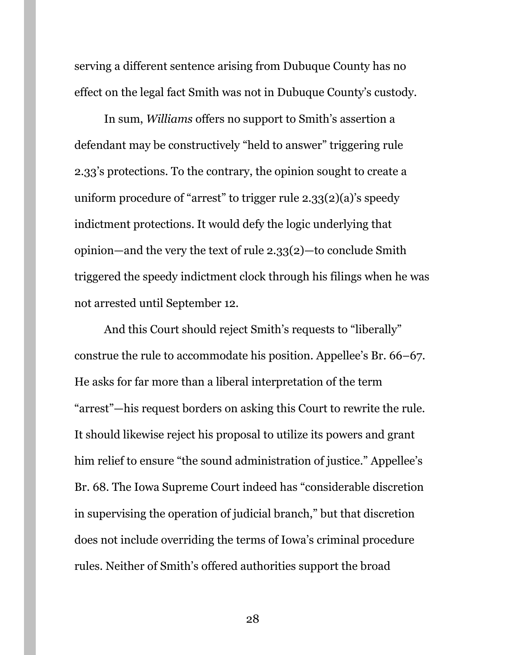serving a different sentence arising from Dubuque County has no effect on the legal fact Smith was not in Dubuque County's custody.

In sum, *Williams* offers no support to Smith's assertion a defendant may be constructively "held to answer" triggering rule 2.33's protections. To the contrary, the opinion sought to create a uniform procedure of "arrest" to trigger rule  $2.33(2)(a)$ 's speedy indictment protections. It would defy the logic underlying that opinion—and the very the text of rule 2.33(2)—to conclude Smith triggered the speedy indictment clock through his filings when he was not arrested until September 12.

And this Court should reject Smith's requests to "liberally" construe the rule to accommodate his position. Appellee's Br. 66–67. He asks for far more than a liberal interpretation of the term "arrest"—his request borders on asking this Court to rewrite the rule. It should likewise reject his proposal to utilize its powers and grant him relief to ensure "the sound administration of justice." Appellee's Br. 68. The Iowa Supreme Court indeed has "considerable discretion in supervising the operation of judicial branch," but that discretion does not include overriding the terms of Iowa's criminal procedure rules. Neither of Smith's offered authorities support the broad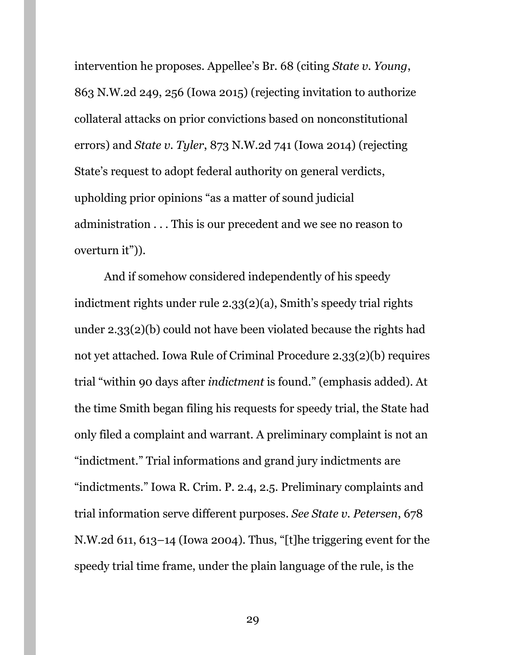intervention he proposes. Appellee's Br. 68 (citing *State v. Young*, 863 N.W.2d 249, 256 (Iowa 2015) (rejecting invitation to authorize collateral attacks on prior convictions based on nonconstitutional errors) and *State v. Tyler*, 873 N.W.2d 741 (Iowa 2014) (rejecting State's request to adopt federal authority on general verdicts, upholding prior opinions "as a matter of sound judicial administration . . . This is our precedent and we see no reason to overturn it")).

And if somehow considered independently of his speedy indictment rights under rule 2.33(2)(a), Smith's speedy trial rights under 2.33(2)(b) could not have been violated because the rights had not yet attached. Iowa Rule of Criminal Procedure 2.33(2)(b) requires trial "within 90 days after *indictment* is found." (emphasis added). At the time Smith began filing his requests for speedy trial, the State had only filed a complaint and warrant. A preliminary complaint is not an "indictment." Trial informations and grand jury indictments are "indictments." Iowa R. Crim. P. 2.4, 2.5. Preliminary complaints and trial information serve different purposes. *See State v. Petersen*, 678 N.W.2d 611, 613–14 (Iowa 2004). Thus, "[t]he triggering event for the speedy trial time frame, under the plain language of the rule, is the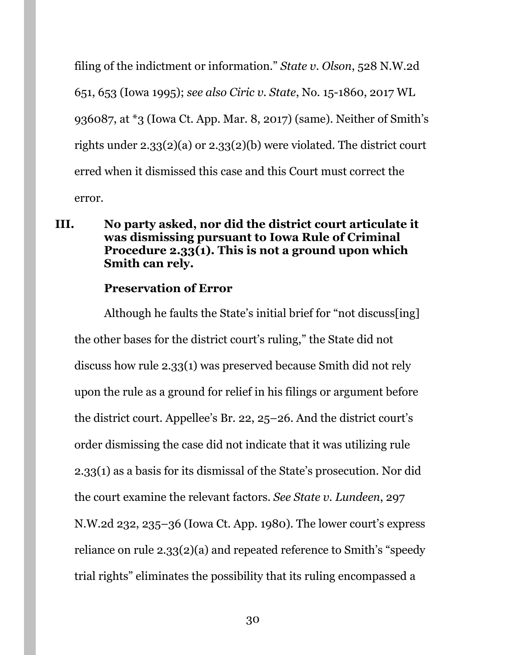filing of the indictment or information." *State v. Olson*, 528 N.W.2d 651, 653 (Iowa 1995); *see also Ciric v. State*, No. 15-1860, 2017 WL 936087, at \*3 (Iowa Ct. App. Mar. 8, 2017) (same). Neither of Smith's rights under 2.33(2)(a) or 2.33(2)(b) were violated. The district court erred when it dismissed this case and this Court must correct the error.

### <span id="page-29-0"></span>**III. No party asked, nor did the district court articulate it was dismissing pursuant to Iowa Rule of Criminal Procedure 2.33(1). This is not a ground upon which Smith can rely.**

### **Preservation of Error**

Although he faults the State's initial brief for "not discuss[ing] the other bases for the district court's ruling," the State did not discuss how rule 2.33(1) was preserved because Smith did not rely upon the rule as a ground for relief in his filings or argument before the district court. Appellee's Br. 22, 25–26. And the district court's order dismissing the case did not indicate that it was utilizing rule 2.33(1) as a basis for its dismissal of the State's prosecution. Nor did the court examine the relevant factors. *See State v. Lundeen*, 297 N.W.2d 232, 235–36 (Iowa Ct. App. 1980). The lower court's express reliance on rule 2.33(2)(a) and repeated reference to Smith's "speedy trial rights" eliminates the possibility that its ruling encompassed a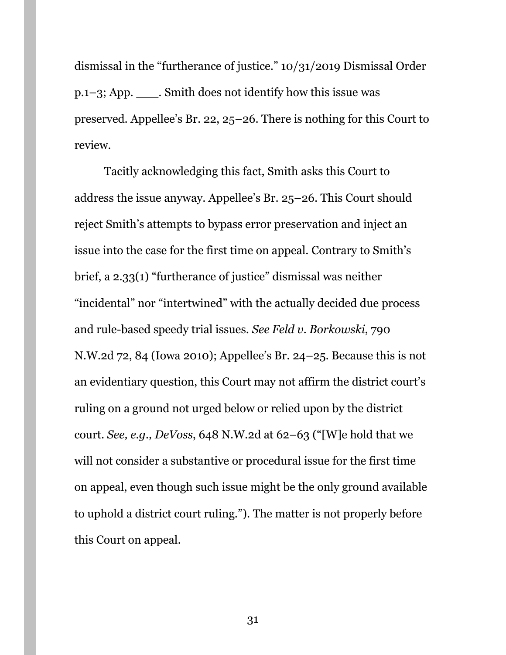dismissal in the "furtherance of justice." 10/31/2019 Dismissal Order p.1–3; App. \_\_\_. Smith does not identify how this issue was preserved. Appellee's Br. 22, 25–26. There is nothing for this Court to review.

Tacitly acknowledging this fact, Smith asks this Court to address the issue anyway. Appellee's Br. 25–26. This Court should reject Smith's attempts to bypass error preservation and inject an issue into the case for the first time on appeal. Contrary to Smith's brief, a 2.33(1) "furtherance of justice" dismissal was neither "incidental" nor "intertwined" with the actually decided due process and rule-based speedy trial issues. *See Feld v. Borkowski*, 790 N.W.2d 72, 84 (Iowa 2010); Appellee's Br. 24–25. Because this is not an evidentiary question, this Court may not affirm the district court's ruling on a ground not urged below or relied upon by the district court. *See, e.g., DeVoss*, 648 N.W.2d at 62–63 ("[W]e hold that we will not consider a substantive or procedural issue for the first time on appeal, even though such issue might be the only ground available to uphold a district court ruling."). The matter is not properly before this Court on appeal.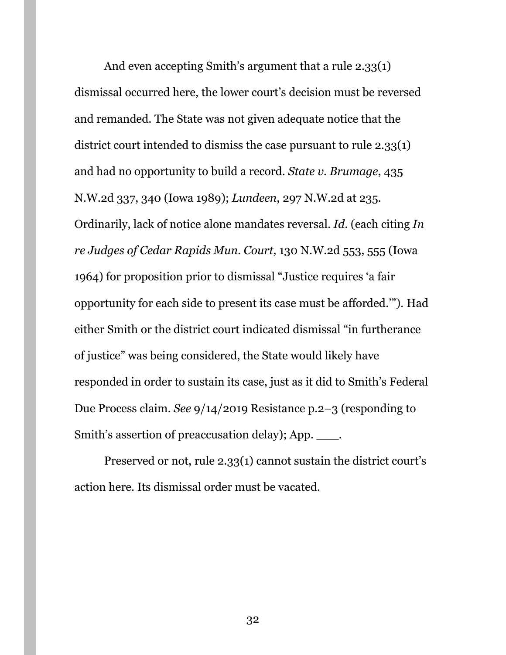And even accepting Smith's argument that a rule 2.33(1) dismissal occurred here, the lower court's decision must be reversed and remanded. The State was not given adequate notice that the district court intended to dismiss the case pursuant to rule 2.33(1) and had no opportunity to build a record. *State v. Brumage*, 435 N.W.2d 337, 340 (Iowa 1989); *Lundeen*, 297 N.W.2d at 235. Ordinarily, lack of notice alone mandates reversal. *Id*. (each citing *In re Judges of Cedar Rapids Mun. Court*, 130 N.W.2d 553, 555 (Iowa 1964) for proposition prior to dismissal "Justice requires 'a fair opportunity for each side to present its case must be afforded.'"). Had either Smith or the district court indicated dismissal "in furtherance of justice" was being considered, the State would likely have responded in order to sustain its case, just as it did to Smith's Federal Due Process claim. *See* 9/14/2019 Resistance p.2–3 (responding to Smith's assertion of preaccusation delay); App. \_\_\_.

Preserved or not, rule 2.33(1) cannot sustain the district court's action here. Its dismissal order must be vacated.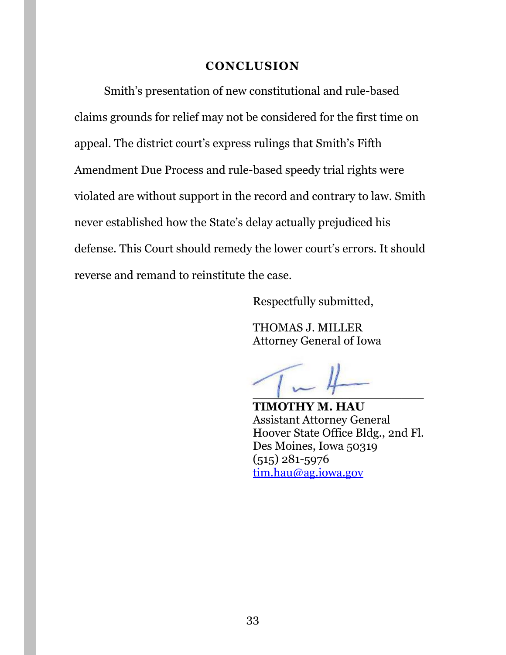#### **CONCLUSION**

<span id="page-32-0"></span>Smith's presentation of new constitutional and rule-based claims grounds for relief may not be considered for the first time on appeal. The district court's express rulings that Smith's Fifth Amendment Due Process and rule-based speedy trial rights were violated are without support in the record and contrary to law. Smith never established how the State's delay actually prejudiced his defense. This Court should remedy the lower court's errors. It should reverse and remand to reinstitute the case.

Respectfully submitted,

THOMAS J. MILLER Attorney General of Iowa

 $\overline{\phantom{a}}$ 

**TIMOTHY M. HAU** Assistant Attorney General Hoover State Office Bldg., 2nd Fl. Des Moines, Iowa 50319 (515) 281-5976 [tim.hau@ag.iowa.gov](mailto:tim.hau@ag.iowa.gov)